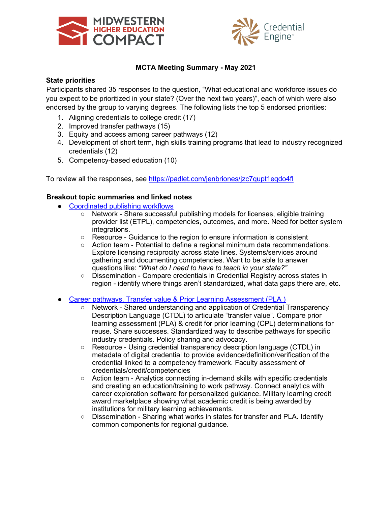



# **MCTA Meeting Summary - May 2021**

### **State priorities**

Participants shared 35 responses to the question, "What educational and workforce issues do you expect to be prioritized in your state? (Over the next two years)", each of which were also endorsed by the group to varying degrees. The following lists the top 5 endorsed priorities:

- 1. Aligning credentials to college credit (17)
- 2. Improved transfer pathways (15)
- 3. Equity and access among career pathways (12)
- 4. Development of short term, high skills training programs that lead to industry recognized credentials (12)
- 5. Competency-based education (10)

To review all the responses, see<https://padlet.com/jenbriones/jzc7qupt1eqdo4fl>

#### **Breakout topic summaries and linked notes**

- [Coordinated publishing workflows](https://docs.google.com/document/d/1eEnRKqxFia2b9prn3r9XqXIocIqlvKy9hHMIaBHfkz4/edit?usp=sharing)
	- Network Share successful publishing models for licenses, eligible training provider list (ETPL), competencies, outcomes, and more. Need for better system integrations.
	- Resource Guidance to the region to ensure information is consistent
	- Action team Potential to define a regional minimum data recommendations. Explore licensing reciprocity across state lines. Systems/services around gathering and documenting competencies. Want to be able to answer questions like: *"What do I need to have to teach in your state?"*
	- Dissemination Compare credentials in Credential Registry across states in region - identify where things aren't standardized, what data gaps there are, etc.
- Career pathways, Transfer value & Prior Learning Assessment (PLA)
	- Network Shared understanding and application of Credential Transparency Description Language (CTDL) to articulate "transfer value". Compare prior learning assessment (PLA) & credit for prior learning (CPL) determinations for reuse. Share successes. Standardized way to describe pathways for specific industry credentials. Policy sharing and advocacy.
	- Resource Using credential transparency description language (CTDL) in metadata of digital credential to provide evidence/definition/verification of the credential linked to a competency framework. Faculty assessment of credentials/credit/competencies
	- Action team Analytics connecting in-demand skills with specific credentials and creating an education/training to work pathway. Connect analytics with career exploration software for personalized guidance. Military learning credit award marketplace showing what academic credit is being awarded by institutions for military learning achievements.
	- Dissemination Sharing what works in states for transfer and PLA. Identify common components for regional guidance.